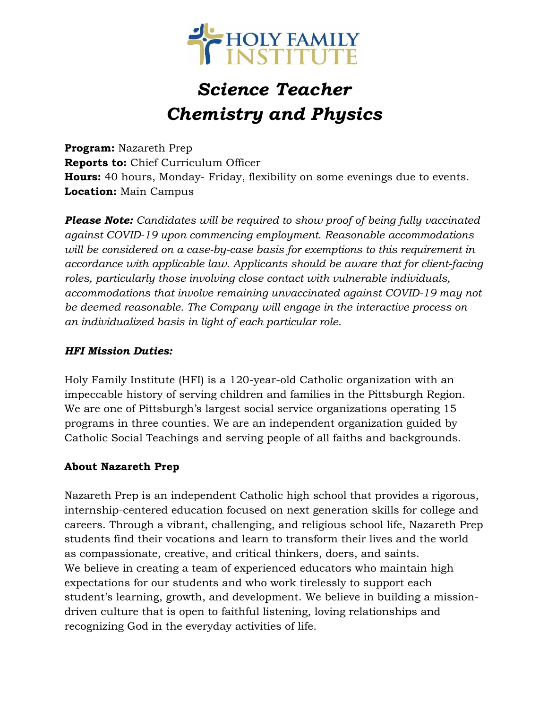

# *Science Teacher Chemistry and Physics*

**Program:** Nazareth Prep **Reports to:** Chief Curriculum Officer **Hours:** 40 hours, Monday- Friday, flexibility on some evenings due to events. **Location:** Main Campus

*Please Note: Candidates will be required to show proof of being fully vaccinated against COVID-19 upon commencing employment. Reasonable accommodations will be considered on a case-by-case basis for exemptions to this requirement in accordance with applicable law. Applicants should be aware that for client-facing roles, particularly those involving close contact with vulnerable individuals, accommodations that involve remaining unvaccinated against COVID-19 may not be deemed reasonable. The Company will engage in the interactive process on an individualized basis in light of each particular role.*

#### *HFI Mission Duties:*

Holy Family Institute (HFI) is a 120-year-old Catholic organization with an impeccable history of serving children and families in the Pittsburgh Region. We are one of Pittsburgh's largest social service organizations operating 15 programs in three counties. We are an independent organization guided by Catholic Social Teachings and serving people of all faiths and backgrounds.

#### **About Nazareth Prep**

Nazareth Prep is an independent Catholic high school that provides a rigorous, internship-centered education focused on next generation skills for college and careers. Through a vibrant, challenging, and religious school life, Nazareth Prep students find their vocations and learn to transform their lives and the world as compassionate, creative, and critical thinkers, doers, and saints. We believe in creating a team of experienced educators who maintain high expectations for our students and who work tirelessly to support each student's learning, growth, and development. We believe in building a missiondriven culture that is open to faithful listening, loving relationships and recognizing God in the everyday activities of life.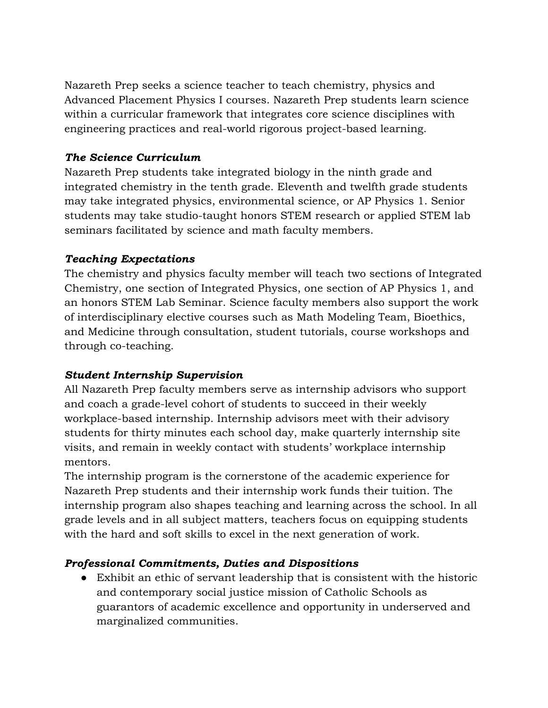Nazareth Prep seeks a science teacher to teach chemistry, physics and Advanced Placement Physics I courses. Nazareth Prep students learn science within a curricular framework that integrates core science disciplines with engineering practices and real-world rigorous project-based learning.

### *The Science Curriculum*

Nazareth Prep students take integrated biology in the ninth grade and integrated chemistry in the tenth grade. Eleventh and twelfth grade students may take integrated physics, environmental science, or AP Physics 1. Senior students may take studio-taught honors STEM research or applied STEM lab seminars facilitated by science and math faculty members.

### *Teaching Expectations*

The chemistry and physics faculty member will teach two sections of Integrated Chemistry, one section of Integrated Physics, one section of AP Physics 1, and an honors STEM Lab Seminar. Science faculty members also support the work of interdisciplinary elective courses such as Math Modeling Team, Bioethics, and Medicine through consultation, student tutorials, course workshops and through co-teaching.

## *Student Internship Supervision*

All Nazareth Prep faculty members serve as internship advisors who support and coach a grade-level cohort of students to succeed in their weekly workplace-based internship. Internship advisors meet with their advisory students for thirty minutes each school day, make quarterly internship site visits, and remain in weekly contact with students' workplace internship mentors.

The internship program is the cornerstone of the academic experience for Nazareth Prep students and their internship work funds their tuition. The internship program also shapes teaching and learning across the school. In all grade levels and in all subject matters, teachers focus on equipping students with the hard and soft skills to excel in the next generation of work.

## *Professional Commitments, Duties and Dispositions*

● Exhibit an ethic of servant leadership that is consistent with the historic and contemporary social justice mission of Catholic Schools as guarantors of academic excellence and opportunity in underserved and marginalized communities.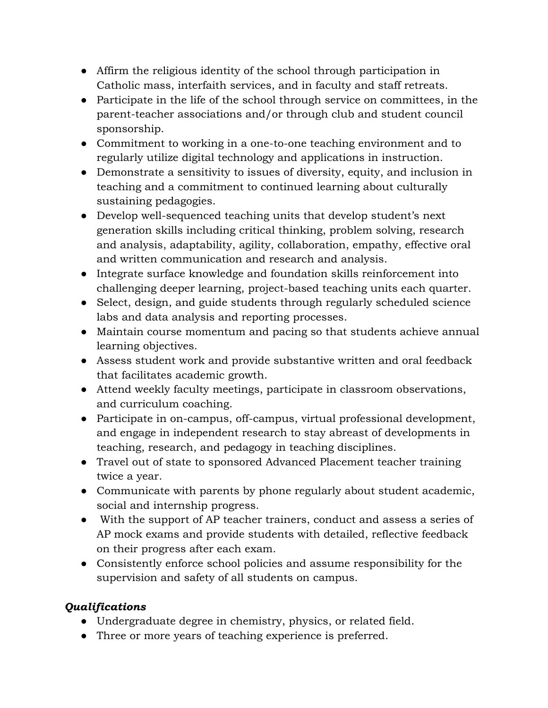- Affirm the religious identity of the school through participation in Catholic mass, interfaith services, and in faculty and staff retreats.
- Participate in the life of the school through service on committees, in the parent-teacher associations and/or through club and student council sponsorship.
- Commitment to working in a one-to-one teaching environment and to regularly utilize digital technology and applications in instruction.
- Demonstrate a sensitivity to issues of diversity, equity, and inclusion in teaching and a commitment to continued learning about culturally sustaining pedagogies.
- Develop well-sequenced teaching units that develop student's next generation skills including critical thinking, problem solving, research and analysis, adaptability, agility, collaboration, empathy, effective oral and written communication and research and analysis.
- Integrate surface knowledge and foundation skills reinforcement into challenging deeper learning, project-based teaching units each quarter.
- Select, design, and guide students through regularly scheduled science labs and data analysis and reporting processes.
- Maintain course momentum and pacing so that students achieve annual learning objectives.
- Assess student work and provide substantive written and oral feedback that facilitates academic growth.
- Attend weekly faculty meetings, participate in classroom observations, and curriculum coaching.
- Participate in on-campus, off-campus, virtual professional development, and engage in independent research to stay abreast of developments in teaching, research, and pedagogy in teaching disciplines.
- Travel out of state to sponsored Advanced Placement teacher training twice a year.
- Communicate with parents by phone regularly about student academic, social and internship progress.
- With the support of AP teacher trainers, conduct and assess a series of AP mock exams and provide students with detailed, reflective feedback on their progress after each exam.
- Consistently enforce school policies and assume responsibility for the supervision and safety of all students on campus.

## *Qualifications*

- Undergraduate degree in chemistry, physics, or related field.
- Three or more years of teaching experience is preferred.